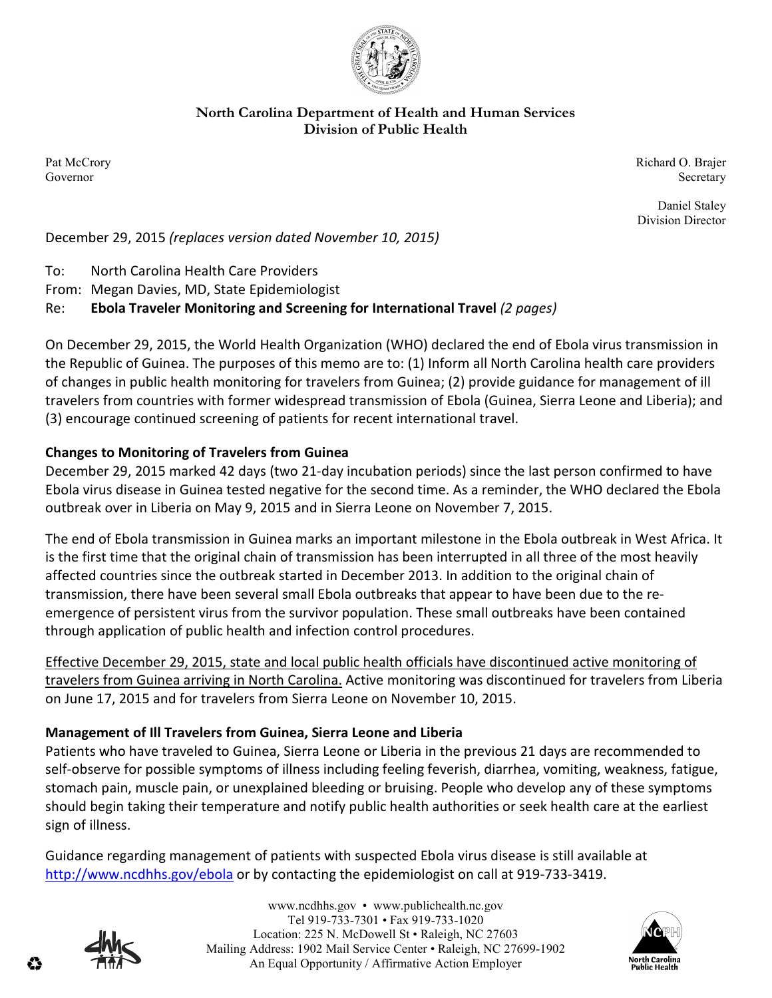

#### **North Carolina Department of Health and Human Services Division of Public Health**

Pat McCrory Richard O. Brajer Governor Secretary Secretary Secretary Secretary Secretary Secretary Secretary Secretary Secretary Secretary Secretary Secretary Secretary Secretary Secretary Secretary Secretary Secretary Secretary Secretary Secretary Sec

> Daniel Staley Division Director

December 29, 2015 *(replaces version dated November 10, 2015)* 

To: North Carolina Health Care Providers

From: Megan Davies, MD, State Epidemiologist

# Re: **Ebola Traveler Monitoring and Screening for International Travel** *(2 pages)*

On December 29, 2015, the World Health Organization (WHO) declared the end of Ebola virus transmission in the Republic of Guinea. The purposes of this memo are to: (1) Inform all North Carolina health care providers of changes in public health monitoring for travelers from Guinea; (2) provide guidance for management of ill travelers from countries with former widespread transmission of Ebola (Guinea, Sierra Leone and Liberia); and (3) encourage continued screening of patients for recent international travel.

## **Changes to Monitoring of Travelers from Guinea**

December 29, 2015 marked 42 days (two 21-day incubation periods) since the last person confirmed to have Ebola virus disease in Guinea tested negative for the second time. As a reminder, the WHO declared the Ebola outbreak over in Liberia on May 9, 2015 and in Sierra Leone on November 7, 2015.

The end of Ebola transmission in Guinea marks an important milestone in the Ebola outbreak in West Africa. It is the first time that the original chain of transmission has been interrupted in all three of the most heavily affected countries since the outbreak started in December 2013. In addition to the original chain of transmission, there have been several small Ebola outbreaks that appear to have been due to the reemergence of persistent virus from the survivor population. These small outbreaks have been contained through application of public health and infection control procedures.

Effective December 29, 2015, state and local public health officials have discontinued active monitoring of travelers from Guinea arriving in North Carolina. Active monitoring was discontinued for travelers from Liberia on June 17, 2015 and for travelers from Sierra Leone on November 10, 2015.

## **Management of Ill Travelers from Guinea, Sierra Leone and Liberia**

Patients who have traveled to Guinea, Sierra Leone or Liberia in the previous 21 days are recommended to self-observe for possible symptoms of illness including feeling feverish, diarrhea, vomiting, weakness, fatigue, stomach pain, muscle pain, or unexplained bleeding or bruising. People who develop any of these symptoms should begin taking their temperature and notify public health authorities or seek health care at the earliest sign of illness.

Guidance regarding management of patients with suspected Ebola virus disease is still available at http://www.ncdhhs.gov/ebola or by contacting the epidemiologist on call at 919-733-3419.



www.ncdhhs.gov • www.publichealth.nc.gov Tel 919-733-7301 • Fax 919-733-1020 Location: 225 N. McDowell St • Raleigh, NC 27603 Mailing Address: 1902 Mail Service Center • Raleigh, NC 27699-1902 An Equal Opportunity / Affirmative Action Employer